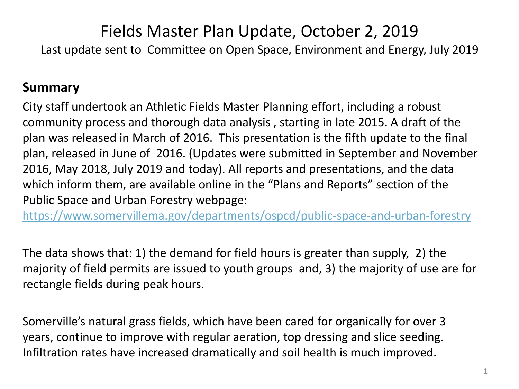## Fields Master Plan Update, October 2, 2019

Last update sent to Committee on Open Space, Environment and Energy, July 2019

## **Summary**

City staff undertook an Athletic Fields Master Planning effort, including a robust community process and thorough data analysis , starting in late 2015. A draft of the plan was released in March of 2016. This presentation is the fifth update to the final plan, released in June of 2016. (Updates were submitted in September and November 2016, May 2018, July 2019 and today). All reports and presentations, and the data which inform them, are available online in the "Plans and Reports" section of the Public Space and Urban Forestry webpage:

<https://www.somervillema.gov/departments/ospcd/public-space-and-urban-forestry>

The data shows that: 1) the demand for field hours is greater than supply, 2) the majority of field permits are issued to youth groups and, 3) the majority of use are for rectangle fields during peak hours.

Somerville's natural grass fields, which have been cared for organically for over 3 years, continue to improve with regular aeration, top dressing and slice seeding. Infiltration rates have increased dramatically and soil health is much improved.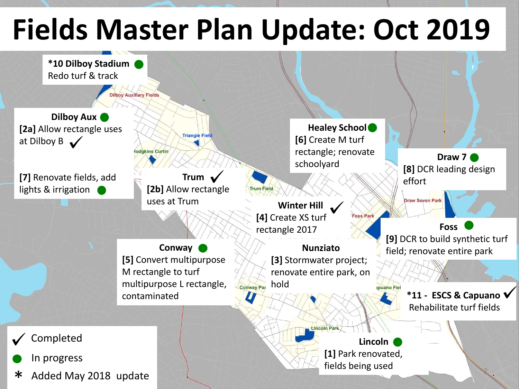## **Fields Master Plan Update: Oct 2019**